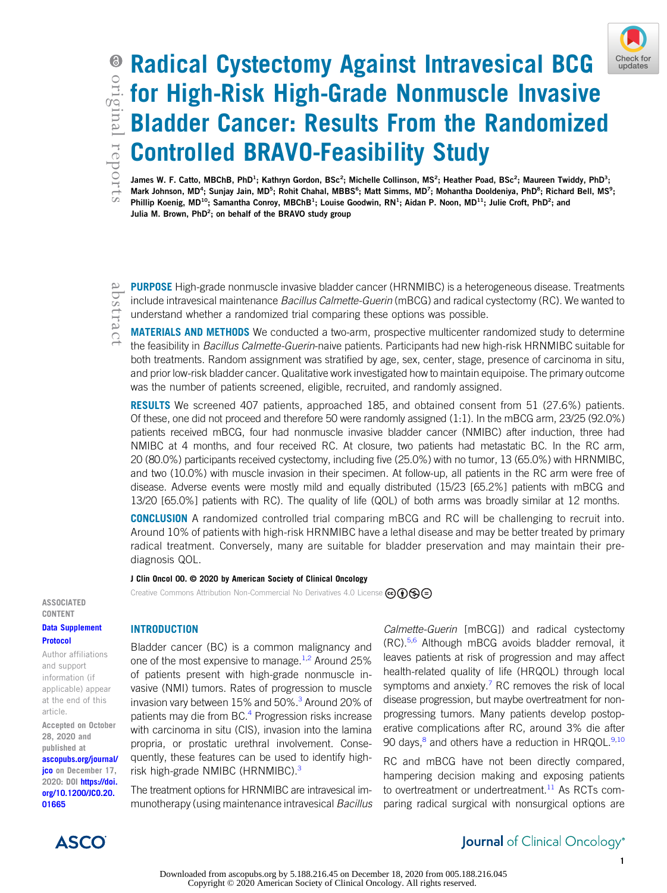

# $\frac{d}{d\Omega}$  for High-Risk High-Grade Nonmuscle Invasive<br>E Bladder Cancer: Results From the Randomizer Radical Cystectomy Against Intravesical BCG Bladder Cancer: Results From the Randomized Controlled BRAVO-Feasibility Study

James W. F. Catto, MBChB, PhD<sup>1</sup>; Kathryn Gordon, BSc<sup>2</sup>; Michelle Collinson, MS<sup>2</sup>; Heather Poad, BSc<sup>2</sup>; Maureen Twiddy, PhD<sup>3</sup>; Mark Johnson, MD<sup>4</sup>; Sunjay Jain, MD<sup>5</sup>; Rohit Chahal, MBBS<sup>6</sup>; Matt Simms, MD<sup>7</sup>; Mohantha Dooldeniya, PhD<sup>8</sup>; Richard Bell, MS<sup>9</sup>; Phillip Koenig, MD<sup>10</sup>; Samantha Conroy, MBChB<sup>1</sup>; Louise Goodwin, RN<sup>1</sup>; Aidan P. Noon, MD<sup>11</sup>; Julie Croft, PhD<sup>2</sup>; and Julia M. Brown, PhD<sup>2</sup>; on behalf of the BRAVO study group

PURPOSE High-grade nonmuscle invasive bladder cancer (HRNMIBC) is a heterogeneous disease. Treatments include intravesical maintenance Bacillus Calmette-Guerin (mBCG) and radical cystectomy (RC). We wanted to understand whether a randomized trial comparing these options was possible.

**MATERIALS AND METHODS** We conducted a two-arm, prospective multicenter randomized study to determine the feasibility in Bacillus Calmette-Guerin-naive patients. Participants had new high-risk HRNMIBC suitable for both treatments. Random assignment was stratified by age, sex, center, stage, presence of carcinoma in situ, and prior low-risk bladder cancer. Qualitative work investigated how to maintain equipoise. The primary outcome was the number of patients screened, eligible, recruited, and randomly assigned.

RESULTS We screened 407 patients, approached 185, and obtained consent from 51 (27.6%) patients. Of these, one did not proceed and therefore 50 were randomly assigned (1:1). In the mBCG arm, 23/25 (92.0%) patients received mBCG, four had nonmuscle invasive bladder cancer (NMIBC) after induction, three had NMIBC at 4 months, and four received RC. At closure, two patients had metastatic BC. In the RC arm, 20 (80.0%) participants received cystectomy, including five (25.0%) with no tumor, 13 (65.0%) with HRNMIBC, and two (10.0%) with muscle invasion in their specimen. At follow-up, all patients in the RC arm were free of disease. Adverse events were mostly mild and equally distributed (15/23 [65.2%] patients with mBCG and 13/20 [65.0%] patients with RC). The quality of life (QOL) of both arms was broadly similar at 12 months.

CONCLUSION A randomized controlled trial comparing mBCG and RC will be challenging to recruit into. Around 10% of patients with high-risk HRNMIBC have a lethal disease and may be better treated by primary radical treatment. Conversely, many are suitable for bladder preservation and may maintain their prediagnosis QOL.

#### J Clin Oncol 00. © 2020 by American Society of Clinical Oncology

Creative Commons Attribution Non-Commercial No Derivatives 4.0 License  $\mathfrak{G}(\widehat{\mathbf{i}})\mathfrak{S}(\widehat{\mathbf{i}})$ 

ASSOCIATED CONTENT

#### [Data Supplement](https://ascopubs.org/doi/suppl/10.1200/JCO.20.01665) Protocol

Author affiliations and support information (if applicable) appear at the end of this article.

Accepted on October 28, 2020 and published at [ascopubs.org/journal/](http://ascopubs.org/journal/jco) [jco](http://ascopubs.org/journal/jco) on December 17, 2020: DOI [https://doi.](http://ascopubs.org/doi/full/10.1200/JCO.20.01665) [org/10.1200/JCO.20.](http://ascopubs.org/doi/full/10.1200/JCO.20.01665) [01665](http://ascopubs.org/doi/full/10.1200/JCO.20.01665)



Bladder cancer (BC) is a common malignancy and one of the most expensive to manage.<sup>[1](#page-11-0),[2](#page-11-1)</sup> Around 25% of patients present with high-grade nonmuscle invasive (NMI) tumors. Rates of progression to muscle invasion vary between 15% and 50%.<sup>[3](#page-11-2)</sup> Around 20% of patients may die from BC.<sup>4</sup> Progression risks increase with carcinoma in situ (CIS), invasion into the lamina propria, or prostatic urethral involvement. Consequently, these features can be used to identify highrisk high-grade NMIBC (HRNMIBC).[3](#page-11-2)

The treatment options for HRNMIBC are intravesical immunotherapy (using maintenance intravesical Bacillus

Calmette-Guerin [mBCG]) and radical cystectomy (RC).[5](#page-11-4)[,6](#page-11-5) Although mBCG avoids bladder removal, it leaves patients at risk of progression and may affect health-related quality of life (HRQOL) through local symptoms and anxiety. $<sup>7</sup>$  $<sup>7</sup>$  $<sup>7</sup>$  RC removes the risk of local</sup> disease progression, but maybe overtreatment for nonprogressing tumors. Many patients develop postoperative complications after RC, around 3% die after [9](#page-11-8)0 days, $8$  and others have a reduction in HRQOL.  $9,10$  $9,10$ 

RC and mBCG have not been directly compared, hampering decision making and exposing patients to overtreatment or undertreatment.<sup>[11](#page-11-10)</sup> As RCTs comparing radical surgical with nonsurgical options are



## Journal of Clinical Oncology®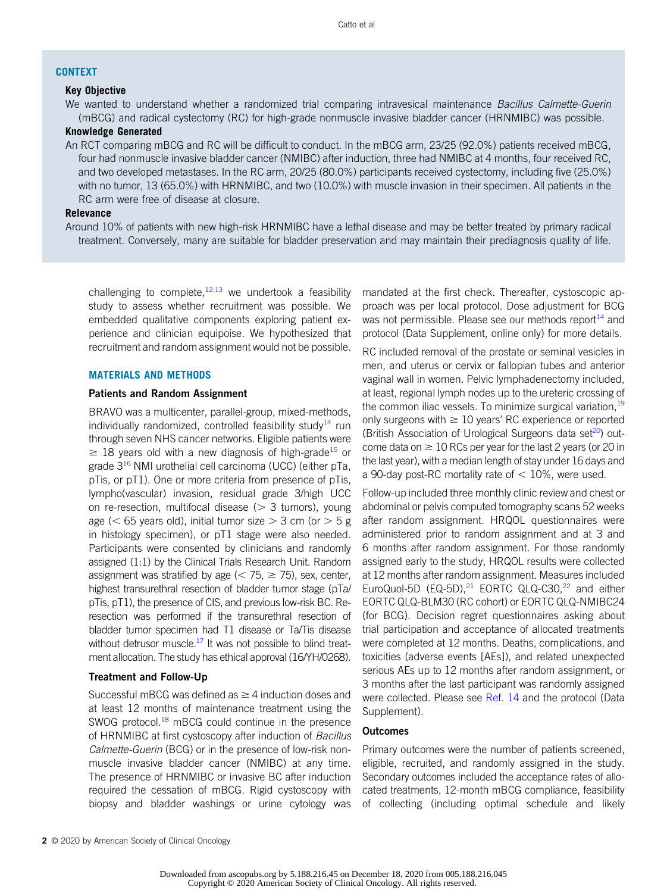#### CONTEXT

## Key Objective

We wanted to understand whether a randomized trial comparing intravesical maintenance Bacillus Calmette-Guerin (mBCG) and radical cystectomy (RC) for high-grade nonmuscle invasive bladder cancer (HRNMIBC) was possible.

## Knowledge Generated

An RCT comparing mBCG and RC will be difficult to conduct. In the mBCG arm, 23/25 (92.0%) patients received mBCG, four had nonmuscle invasive bladder cancer (NMIBC) after induction, three had NMIBC at 4 months, four received RC, and two developed metastases. In the RC arm, 20/25 (80.0%) participants received cystectomy, including five (25.0%) with no tumor, 13 (65.0%) with HRNMIBC, and two (10.0%) with muscle invasion in their specimen. All patients in the RC arm were free of disease at closure.

#### Relevance

Around 10% of patients with new high-risk HRNMIBC have a lethal disease and may be better treated by primary radical treatment. Conversely, many are suitable for bladder preservation and may maintain their prediagnosis quality of life.

challenging to complete, $12,13$  $12,13$  we undertook a feasibility study to assess whether recruitment was possible. We embedded qualitative components exploring patient experience and clinician equipoise. We hypothesized that recruitment and random assignment would not be possible.

## MATERIALS AND METHODS

## Patients and Random Assignment

BRAVO was a multicenter, parallel-group, mixed-methods, individually randomized, controlled feasibility study<sup>[14](#page-11-13)</sup> run through seven NHS cancer networks. Eligible patients were  $\geq$  18 years old with a new diagnosis of high-grade<sup>[15](#page-11-14)</sup> or grade 3<sup>[16](#page-11-15)</sup> NMI urothelial cell carcinoma (UCC) (either pTa, pTis, or pT1). One or more criteria from presence of pTis, lympho(vascular) invasion, residual grade 3/high UCC on re-resection, multifocal disease ( $>$  3 tumors), young age ( $<$  65 years old), initial tumor size  $>$  3 cm (or  $>$  5 g in histology specimen), or pT1 stage were also needed. Participants were consented by clinicians and randomly assigned (1:1) by the Clinical Trials Research Unit. Random assignment was stratified by age  $(< 75, \geq 75)$ , sex, center, highest transurethral resection of bladder tumor stage (pTa/ pTis, pT1), the presence of CIS, and previous low-risk BC. Reresection was performed if the transurethral resection of bladder tumor specimen had T1 disease or Ta/Tis disease without detrusor muscle. $17$  It was not possible to blind treatment allocation. The study has ethical approval (16/YH/0268).

#### Treatment and Follow-Up

Successful mBCG was defined as  $\geq 4$  induction doses and at least 12 months of maintenance treatment using the SWOG protocol.<sup>18</sup> mBCG could continue in the presence of HRNMIBC at first cystoscopy after induction of Bacillus Calmette-Guerin (BCG) or in the presence of low-risk nonmuscle invasive bladder cancer (NMIBC) at any time. The presence of HRNMIBC or invasive BC after induction required the cessation of mBCG. Rigid cystoscopy with biopsy and bladder washings or urine cytology was

mandated at the first check. Thereafter, cystoscopic approach was per local protocol. Dose adjustment for BCG was not permissible. Please see our methods report $14$  and protocol (Data Supplement, online only) for more details.

RC included removal of the prostate or seminal vesicles in men, and uterus or cervix or fallopian tubes and anterior vaginal wall in women. Pelvic lymphadenectomy included, at least, regional lymph nodes up to the ureteric crossing of the common iliac vessels. To minimize surgical variation, <sup>[19](#page-11-18)</sup> only surgeons with  $\geq 10$  years' RC experience or reported (British Association of Urological Surgeons data set<sup>[20](#page-11-19)</sup>) outcome data on  $\geq 10$  RCs per year for the last 2 years (or 20 in the last year), with a median length of stay under 16 days and a 90-day post-RC mortality rate of  $<$  10%, were used.

Follow-up included three monthly clinic review and chest or abdominal or pelvis computed tomography scans 52 weeks after random assignment. HRQOL questionnaires were administered prior to random assignment and at 3 and 6 months after random assignment. For those randomly assigned early to the study, HRQOL results were collected at 12 months after random assignment. Measures included EuroQuol-5D (EQ-5D), $^{21}$  $^{21}$  $^{21}$  EORTC QLQ-C30, $^{22}$  $^{22}$  $^{22}$  and either EORTC QLQ-BLM30 (RC cohort) or EORTC QLQ-NMIBC24 (for BCG). Decision regret questionnaires asking about trial participation and acceptance of allocated treatments were completed at 12 months. Deaths, complications, and toxicities (adverse events [AEs]), and related unexpected serious AEs up to 12 months after random assignment, or 3 months after the last participant was randomly assigned were collected. Please see [Ref. 14](#page-11-13) and the protocol (Data Supplement).

## **Outcomes**

Primary outcomes were the number of patients screened, eligible, recruited, and randomly assigned in the study. Secondary outcomes included the acceptance rates of allocated treatments, 12-month mBCG compliance, feasibility of collecting (including optimal schedule and likely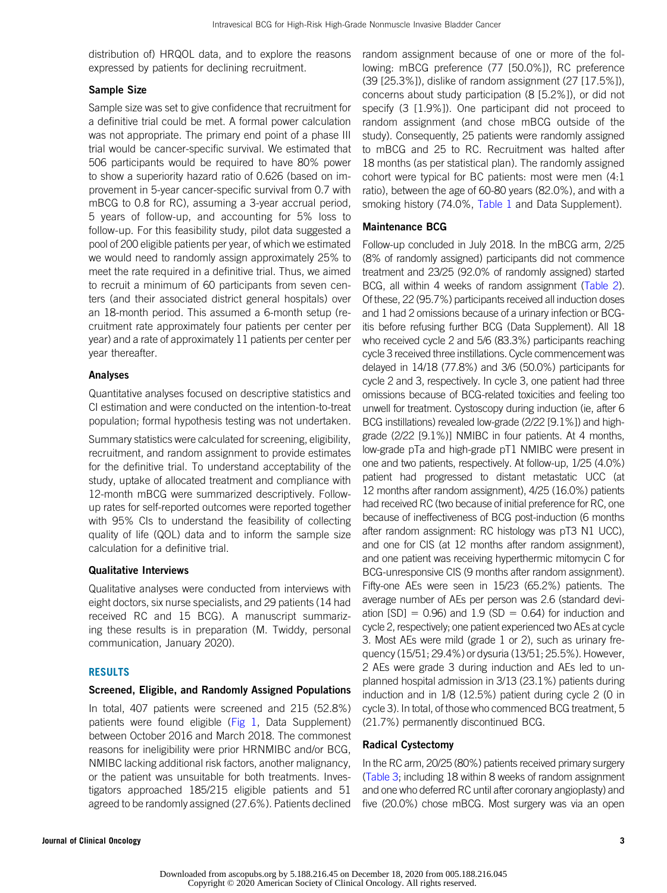distribution of) HRQOL data, and to explore the reasons expressed by patients for declining recruitment.

## Sample Size

Sample size was set to give confidence that recruitment for a definitive trial could be met. A formal power calculation was not appropriate. The primary end point of a phase III trial would be cancer-specific survival. We estimated that 506 participants would be required to have 80% power to show a superiority hazard ratio of 0.626 (based on improvement in 5-year cancer-specific survival from 0.7 with mBCG to 0.8 for RC), assuming a 3-year accrual period, 5 years of follow-up, and accounting for 5% loss to follow-up. For this feasibility study, pilot data suggested a pool of 200 eligible patients per year, of which we estimated we would need to randomly assign approximately 25% to meet the rate required in a definitive trial. Thus, we aimed to recruit a minimum of 60 participants from seven centers (and their associated district general hospitals) over an 18-month period. This assumed a 6-month setup (recruitment rate approximately four patients per center per year) and a rate of approximately 11 patients per center per year thereafter.

## Analyses

Quantitative analyses focused on descriptive statistics and CI estimation and were conducted on the intention-to-treat population; formal hypothesis testing was not undertaken.

Summary statistics were calculated for screening, eligibility, recruitment, and random assignment to provide estimates for the definitive trial. To understand acceptability of the study, uptake of allocated treatment and compliance with 12-month mBCG were summarized descriptively. Followup rates for self-reported outcomes were reported together with 95% CIs to understand the feasibility of collecting quality of life (QOL) data and to inform the sample size calculation for a definitive trial.

## Qualitative Interviews

Qualitative analyses were conducted from interviews with eight doctors, six nurse specialists, and 29 patients (14 had received RC and 15 BCG). A manuscript summarizing these results is in preparation (M. Twiddy, personal communication, January 2020).

## RESULTS

## Screened, Eligible, and Randomly Assigned Populations

In total, 407 patients were screened and 215 (52.8%) patients were found eligible ([Fig 1](#page-3-0), Data Supplement) between October 2016 and March 2018. The commonest reasons for ineligibility were prior HRNMIBC and/or BCG, NMIBC lacking additional risk factors, another malignancy, or the patient was unsuitable for both treatments. Investigators approached 185/215 eligible patients and 51 agreed to be randomly assigned (27.6%). Patients declined

random assignment because of one or more of the following: mBCG preference (77 [50.0%]), RC preference (39 [25.3%]), dislike of random assignment (27 [17.5%]), concerns about study participation (8 [5.2%]), or did not specify (3 [1.9%]). One participant did not proceed to random assignment (and chose mBCG outside of the study). Consequently, 25 patients were randomly assigned to mBCG and 25 to RC. Recruitment was halted after 18 months (as per statistical plan). The randomly assigned cohort were typical for BC patients: most were men (4:1 ratio), between the age of 60-80 years (82.0%), and with a smoking history (74.0%, [Table 1](#page-4-0) and Data Supplement).

## Maintenance BCG

Follow-up concluded in July 2018. In the mBCG arm, 2/25 (8% of randomly assigned) participants did not commence treatment and 23/25 (92.0% of randomly assigned) started BCG, all within 4 weeks of random assignment ([Table 2\)](#page-6-0). Of these, 22 (95.7%) participants received all induction doses and 1 had 2 omissions because of a urinary infection or BCGitis before refusing further BCG (Data Supplement). All 18 who received cycle 2 and 5/6 (83.3%) participants reaching cycle 3 received three instillations. Cycle commencement was delayed in 14/18 (77.8%) and 3/6 (50.0%) participants for cycle 2 and 3, respectively. In cycle 3, one patient had three omissions because of BCG-related toxicities and feeling too unwell for treatment. Cystoscopy during induction (ie, after 6 BCG instillations) revealed low-grade (2/22 [9.1%]) and highgrade (2/22 [9.1%)] NMIBC in four patients. At 4 months, low-grade pTa and high-grade pT1 NMIBC were present in one and two patients, respectively. At follow-up, 1/25 (4.0%) patient had progressed to distant metastatic UCC (at 12 months after random assignment), 4/25 (16.0%) patients had received RC (two because of initial preference for RC, one because of ineffectiveness of BCG post-induction (6 months after random assignment: RC histology was pT3 N1 UCC), and one for CIS (at 12 months after random assignment), and one patient was receiving hyperthermic mitomycin C for BCG-unresponsive CIS (9 months after random assignment). Fifty-one AEs were seen in 15/23 (65.2%) patients. The average number of AEs per person was 2.6 (standard deviation  $[SD] = 0.96$ ) and 1.9 (SD = 0.64) for induction and cycle 2, respectively; one patient experienced two AEs at cycle 3. Most AEs were mild (grade 1 or 2), such as urinary frequency (15/51; 29.4%) or dysuria (13/51; 25.5%). However, 2 AEs were grade 3 during induction and AEs led to unplanned hospital admission in 3/13 (23.1%) patients during induction and in 1/8 (12.5%) patient during cycle 2 (0 in cycle 3). In total, of those who commenced BCG treatment, 5 (21.7%) permanently discontinued BCG.

## Radical Cystectomy

In the RC arm, 20/25 (80%) patients received primary surgery ([Table 3](#page-7-0); including 18 within 8 weeks of random assignment and one who deferred RC until after coronary angioplasty) and five (20.0%) chose mBCG. Most surgery was via an open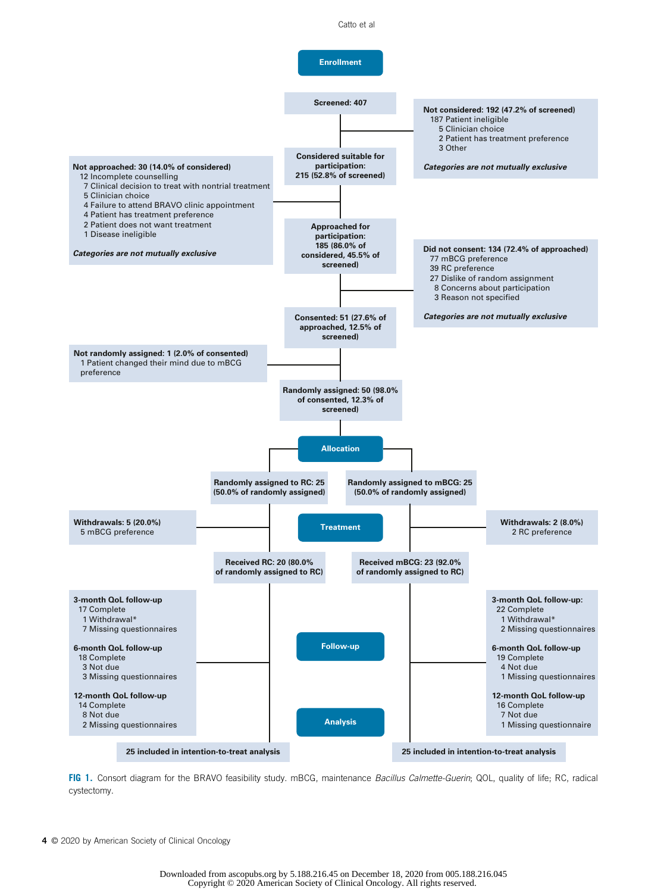Catto et al



<span id="page-3-0"></span>FIG 1. Consort diagram for the BRAVO feasibility study. mBCG, maintenance Bacillus Calmette-Guerin; QOL, quality of life; RC, radical cystectomy.

4 © 2020 by American Society of Clinical Oncology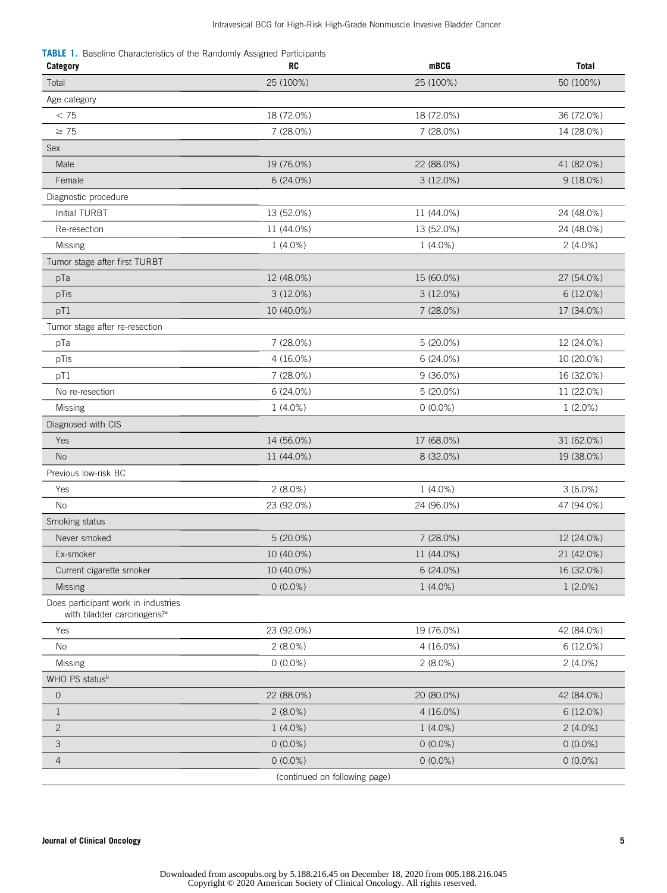<span id="page-4-0"></span>

| TABLE 1. Baseline Characteristics of the Randomly Assigned Participants |
|-------------------------------------------------------------------------|
|-------------------------------------------------------------------------|

| <b>Category</b>                                                               | <b>RC</b>                     | mBCG                     | Total       |
|-------------------------------------------------------------------------------|-------------------------------|--------------------------|-------------|
| Total                                                                         | 25 (100%)                     | 25 (100%)                | 50 (100%)   |
| Age category                                                                  |                               |                          |             |
| < 75                                                                          | 18 (72.0%)                    | 18 (72.0%)               | 36 (72.0%)  |
| $\geq 75$                                                                     | 7 (28.0%)                     | 7 (28.0%)                | 14 (28.0%)  |
| Sex                                                                           |                               |                          |             |
| Male                                                                          | 19 (76.0%)                    | 22 (88.0%)               | 41 (82.0%)  |
| Female                                                                        | 6 (24.0%)                     | 3(12.0%)                 | 9(18.0%)    |
| Diagnostic procedure                                                          |                               |                          |             |
| <b>Initial TURBT</b>                                                          | 13 (52.0%)                    | 11 (44.0%)               | 24 (48.0%)  |
| Re-resection                                                                  | 11 (44.0%)                    | 13 (52.0%)               | 24 (48.0%)  |
| Missing                                                                       | $1(4.0\%)$                    | $1(4.0\%)$               | $2(4.0\%)$  |
| Tumor stage after first TURBT                                                 |                               |                          |             |
| pTa                                                                           | 12 (48.0%)                    | 15 (60.0%)               | 27 (54.0%)  |
| pTis                                                                          | 3(12.0%)                      | 3(12.0%)                 | 6(12.0%)    |
| pT1                                                                           | 10 (40.0%)                    | 7 (28.0%)                | 17 (34.0%)  |
| Tumor stage after re-resection                                                |                               |                          |             |
| pTa                                                                           | 7 (28.0%)                     | $5(20.0\%)$              | 12 (24.0%)  |
| pTis                                                                          | 4 (16.0%)                     | 6 (24.0%)                | 10 (20.0%)  |
| pT1                                                                           | 7 (28.0%)                     | $9(36.0\%)$              | 16 (32.0%)  |
| No re-resection                                                               | 6(24.0%)                      | $5(20.0\%)$              | 11 (22.0%)  |
| Missing                                                                       | $1(4.0\%)$                    | $0(0.0\%)$               | 1(2.0%)     |
| Diagnosed with CIS                                                            |                               |                          |             |
| Yes                                                                           | 14 (56.0%)                    | 17 (68.0%)               | 31 (62.0%)  |
| <b>No</b>                                                                     | 11 (44.0%)                    | 8 (32.0%)                | 19 (38.0%)  |
| Previous low-risk BC                                                          |                               |                          |             |
| Yes                                                                           | $2(8.0\%)$                    | $1(4.0\%)$               | $3(6.0\%)$  |
| No                                                                            | 23 (92.0%)                    | 24 (96.0%)<br>47 (94.0%) |             |
| Smoking status                                                                |                               |                          |             |
| Never smoked                                                                  | 5 (20.0%)                     | 7 (28.0%)                | 12 (24.0%)  |
| Ex-smoker                                                                     | 10 (40.0%)                    | 11 (44.0%)               | 21 (42.0%)  |
| Current cigarette smoker                                                      | 10 (40.0%)                    | 6 (24.0%)                | 16 (32.0%)  |
| <b>Missing</b>                                                                | $0(0.0\%)$                    | $1(4.0\%)$               | $1(2.0\%)$  |
| Does participant work in industries<br>with bladder carcinogens? <sup>a</sup> |                               |                          |             |
| Yes                                                                           | 23 (92.0%)                    | 19 (76.0%)               | 42 (84.0%)  |
| No                                                                            | $2(8.0\%)$                    | $4(16.0\%)$              | 6(12.0%)    |
| Missing                                                                       | $0(0.0\%)$                    | $2(8.0\%)$               | $2(4.0\%)$  |
| WHO PS status <sup>b</sup>                                                    |                               |                          |             |
| $\mathbf 0$                                                                   | 22 (88.0%)                    | 20 (80.0%)               | 42 (84.0%)  |
| $\mathbf{1}$                                                                  | $2(8.0\%)$                    | 4 (16.0%)                | $6(12.0\%)$ |
| $\mathbf{2}$                                                                  | $1(4.0\%)$                    | $1(4.0\%)$               | $2(4.0\%)$  |
| 3                                                                             | $0(0.0\%)$                    | $0(0.0\%)$               | $0(0.0\%)$  |
| $\overline{4}$                                                                | $0(0.0\%)$                    | $0(0.0\%)$               | $0(0.0\%)$  |
|                                                                               | (continued on following page) |                          |             |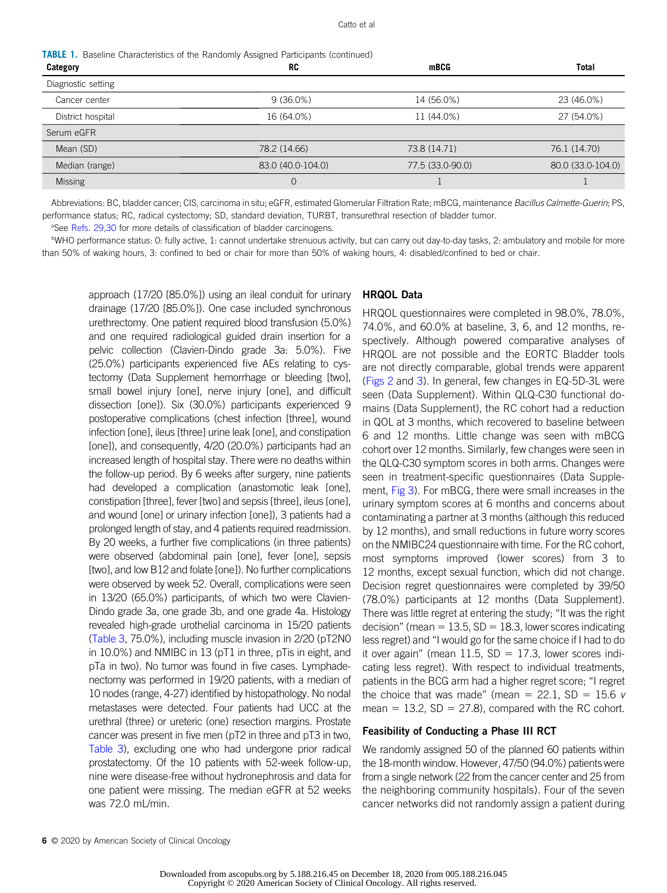**TABLE 1.** Baseline Characteristics of the Randomly Assigned Participants (continued)

| <b>RC</b>         | mBCG             | <b>Total</b>      |
|-------------------|------------------|-------------------|
|                   |                  |                   |
| $9(36.0\%)$       | 14 (56.0%)       | 23 (46.0%)        |
| 16 (64.0%)        | 11 (44.0%)       | 27 (54.0%)        |
|                   |                  |                   |
| 78.2 (14.66)      | 73.8 (14.71)     | 76.1 (14.70)      |
| 83.0 (40.0-104.0) | 77.5 (33.0-90.0) | 80.0 (33.0-104.0) |
| $\overline{0}$    |                  |                   |
|                   |                  |                   |

Abbreviations: BC, bladder cancer; CIS, carcinoma in situ; eGFR, estimated Glomerular Filtration Rate; mBCG, maintenance Bacillus Calmette-Guerin; PS, performance status; RC, radical cystectomy; SD, standard deviation, TURBT, transurethral resection of bladder tumor.

<sup>a</sup>See [Refs. 29](#page-12-0)[,30](#page-12-1) for more details of classification of bladder carcinogens.

bWHO performance status: 0: fully active, 1: cannot undertake strenuous activity, but can carry out day-to-day tasks, 2: ambulatory and mobile for more than 50% of waking hours, 3: confined to bed or chair for more than 50% of waking hours, 4: disabled/confined to bed or chair.

approach (17/20 [85.0%]) using an ileal conduit for urinary drainage (17/20 [85.0%]). One case included synchronous urethrectomy. One patient required blood transfusion (5.0%) and one required radiological guided drain insertion for a pelvic collection (Clavien-Dindo grade 3a: 5.0%). Five (25.0%) participants experienced five AEs relating to cystectomy (Data Supplement hemorrhage or bleeding [two], small bowel injury [one], nerve injury [one], and difficult dissection [one]). Six (30.0%) participants experienced 9 postoperative complications (chest infection [three], wound infection [one], ileus [three] urine leak [one], and constipation [one]), and consequently, 4/20 (20.0%) participants had an increased length of hospital stay. There were no deaths within the follow-up period. By 6 weeks after surgery, nine patients had developed a complication (anastomotic leak [one], constipation [three], fever [two] and sepsis [three], ileus [one], and wound [one] or urinary infection [one]), 3 patients had a prolonged length of stay, and 4 patients required readmission. By 20 weeks, a further five complications (in three patients) were observed (abdominal pain [one], fever [one], sepsis [two], and low B12 and folate [one]). No further complications were observed by week 52. Overall, complications were seen in 13/20 (65.0%) participants, of which two were Clavien-Dindo grade 3a, one grade 3b, and one grade 4a. Histology revealed high-grade urothelial carcinoma in 15/20 patients ([Table 3](#page-7-0), 75.0%), including muscle invasion in 2/20 (pT2N0 in 10.0%) and NMIBC in 13 (pT1 in three, pTis in eight, and pTa in two). No tumor was found in five cases. Lymphadenectomy was performed in 19/20 patients, with a median of 10 nodes (range, 4-27) identified by histopathology. No nodal metastases were detected. Four patients had UCC at the urethral (three) or ureteric (one) resection margins. Prostate cancer was present in five men (pT2 in three and pT3 in two, [Table 3](#page-7-0)), excluding one who had undergone prior radical prostatectomy. Of the 10 patients with 52-week follow-up, nine were disease-free without hydronephrosis and data for one patient were missing. The median eGFR at 52 weeks was 72.0 mL/min.

#### HRQOL Data

HRQOL questionnaires were completed in 98.0%, 78.0%, 74.0%, and 60.0% at baseline, 3, 6, and 12 months, respectively. Although powered comparative analyses of HRQOL are not possible and the EORTC Bladder tools are not directly comparable, global trends were apparent ([Figs 2](#page-8-0) and [3](#page-9-0)). In general, few changes in EQ-5D-3L were seen (Data Supplement). Within QLQ-C30 functional domains (Data Supplement), the RC cohort had a reduction in QOL at 3 months, which recovered to baseline between 6 and 12 months. Little change was seen with mBCG cohort over 12 months. Similarly, few changes were seen in the QLQ-C30 symptom scores in both arms. Changes were seen in treatment-specific questionnaires (Data Supple-ment, [Fig 3](#page-9-0)). For mBCG, there were small increases in the urinary symptom scores at 6 months and concerns about contaminating a partner at 3 months (although this reduced by 12 months), and small reductions in future worry scores on the NMIBC24 questionnaire with time. For the RC cohort, most symptoms improved (lower scores) from 3 to 12 months, except sexual function, which did not change. Decision regret questionnaires were completed by 39/50 (78.0%) participants at 12 months (Data Supplement). There was little regret at entering the study; "It was the right decision" (mean  $= 13.5$ , SD  $= 18.3$ , lower scores indicating less regret) and "I would go for the same choice if I had to do it over again" (mean 11.5,  $SD = 17.3$ , lower scores indicating less regret). With respect to individual treatments, patients in the BCG arm had a higher regret score; "I regret the choice that was made" (mean =  $22.1$ , SD = 15.6 v mean  $= 13.2$ , SD  $= 27.8$ ), compared with the RC cohort.

#### Feasibility of Conducting a Phase III RCT

We randomly assigned 50 of the planned 60 patients within the 18-month window. However, 47/50 (94.0%) patients were from a single network (22 from the cancer center and 25 from the neighboring community hospitals). Four of the seven cancer networks did not randomly assign a patient during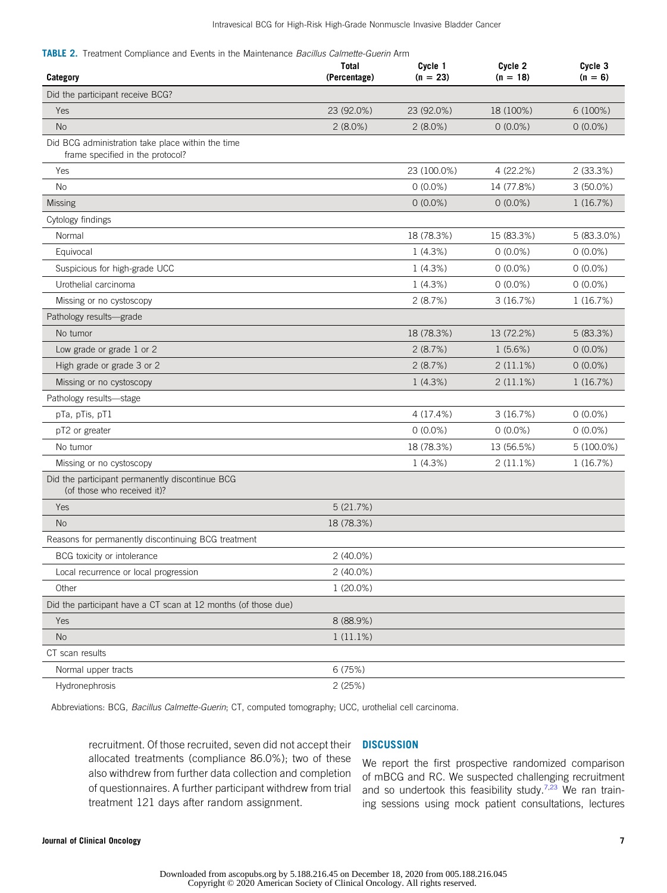#### Intravesical BCG for High-Risk High-Grade Nonmuscle Invasive Bladder Cancer

#### <span id="page-6-0"></span>TABLE 2. Treatment Compliance and Events in the Maintenance Bacillus Calmette-Guerin Arm

| <b>Category</b>                                                                       | Total<br>(Percentage) | Cycle 1<br>$(n = 23)$ | Cycle 2<br>$(n = 18)$ | Cycle 3<br>$(n = 6)$ |
|---------------------------------------------------------------------------------------|-----------------------|-----------------------|-----------------------|----------------------|
| Did the participant receive BCG?                                                      |                       |                       |                       |                      |
| Yes                                                                                   | 23 (92.0%)            | 23 (92.0%)            | 18 (100%)             | 6 (100%)             |
| <b>No</b>                                                                             | $2(8.0\%)$            | $2(8.0\%)$            | $0(0.0\%)$            | $0(0.0\%)$           |
| Did BCG administration take place within the time<br>frame specified in the protocol? |                       |                       |                       |                      |
| Yes                                                                                   |                       | 23 (100.0%)           | 4 (22.2%)             | 2(33.3%)             |
| No                                                                                    |                       | $0(0.0\%)$            | 14 (77.8%)            | $3(50.0\%)$          |
| <b>Missing</b>                                                                        |                       | $0(0.0\%)$            | $0(0.0\%)$            | 1(16.7%)             |
| Cytology findings                                                                     |                       |                       |                       |                      |
| Normal                                                                                |                       | 18 (78.3%)            | 15 (83.3%)            | 5 (83.3.0%)          |
| Equivocal                                                                             |                       | 1(4.3%)               | $0(0.0\%)$            | $0(0.0\%)$           |
| Suspicious for high-grade UCC                                                         |                       | 1(4.3%)               | $0(0.0\%)$            | $0(0.0\%)$           |
| Urothelial carcinoma                                                                  |                       | 1(4.3%)               | $0(0.0\%)$            | $0(0.0\%)$           |
| Missing or no cystoscopy                                                              |                       | 2(8.7%)               | 3(16.7%)              | 1 (16.7%)            |
| Pathology results-grade                                                               |                       |                       |                       |                      |
| No tumor                                                                              |                       | 18 (78.3%)            | 13 (72.2%)            | 5(83.3%)             |
| Low grade or grade 1 or 2                                                             |                       | 2(8.7%)               | 1(5.6%)               | $0(0.0\%)$           |
| High grade or grade 3 or 2                                                            |                       | 2(8.7%)               | 2(11.1%)              | $0(0.0\%)$           |
| Missing or no cystoscopy                                                              |                       | 1(4.3%)               | 2(11.1%)              | 1(16.7%)             |
| Pathology results-stage                                                               |                       |                       |                       |                      |
| pTa, pTis, pT1                                                                        |                       | 4(17.4%)              | 3(16.7%)              | $0(0.0\%)$           |
| pT2 or greater                                                                        |                       | $0(0.0\%)$            | $0(0.0\%)$            | $0(0.0\%)$           |
| No tumor                                                                              |                       | 18 (78.3%)            | 13 (56.5%)            | $5(100.0\%)$         |
| Missing or no cystoscopy                                                              |                       | 1(4.3%)               | 2(11.1%)              | 1(16.7%)             |
| Did the participant permanently discontinue BCG<br>(of those who received it)?        |                       |                       |                       |                      |
| Yes                                                                                   | 5(21.7%)              |                       |                       |                      |
| <b>No</b>                                                                             | 18 (78.3%)            |                       |                       |                      |
| Reasons for permanently discontinuing BCG treatment                                   |                       |                       |                       |                      |
| BCG toxicity or intolerance                                                           | $2(40.0\%)$           |                       |                       |                      |
| Local recurrence or local progression                                                 | $2(40.0\%)$           |                       |                       |                      |
| Other                                                                                 | 1 (20.0%)             |                       |                       |                      |
| Did the participant have a CT scan at 12 months (of those due)                        |                       |                       |                       |                      |
| Yes                                                                                   | 8 (88.9%)             |                       |                       |                      |
| <b>No</b>                                                                             | 1(11.1%)              |                       |                       |                      |
| CT scan results                                                                       |                       |                       |                       |                      |
| Normal upper tracts                                                                   | 6 (75%)               |                       |                       |                      |
| Hydronephrosis                                                                        | 2 (25%)               |                       |                       |                      |

Abbreviations: BCG, Bacillus Calmette-Guerin; CT, computed tomography; UCC, urothelial cell carcinoma.

recruitment. Of those recruited, seven did not accept their allocated treatments (compliance 86.0%); two of these also withdrew from further data collection and completion of questionnaires. A further participant withdrew from trial treatment 121 days after random assignment.

## **DISCUSSION**

We report the first prospective randomized comparison of mBCG and RC. We suspected challenging recruitment and so undertook this feasibility study.<sup>[7](#page-11-6)[,23](#page-12-2)</sup> We ran training sessions using mock patient consultations, lectures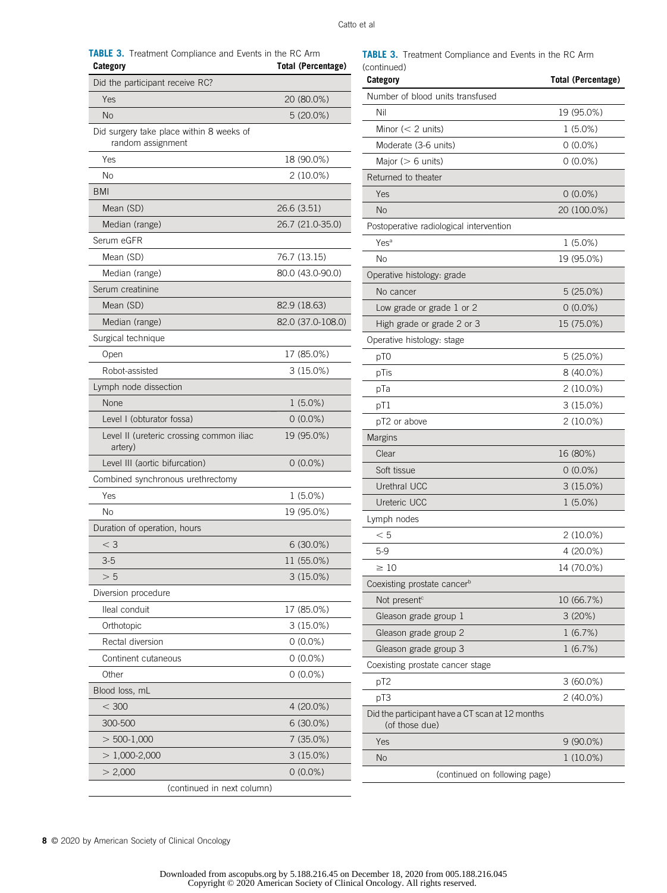<span id="page-7-0"></span>

| <b>Category</b>                                               | <b>Total (Percentage)</b> |
|---------------------------------------------------------------|---------------------------|
| Did the participant receive RC?                               |                           |
| Yes                                                           | 20 (80.0%)                |
| No                                                            | $5(20.0\%)$               |
| Did surgery take place within 8 weeks of<br>random assignment |                           |
| Yes                                                           | 18 (90.0%)                |
| No                                                            | $2(10.0\%)$               |
| <b>BMI</b>                                                    |                           |
| Mean (SD)                                                     | 26.6 (3.51)               |
| Median (range)                                                | 26.7 (21.0-35.0)          |
| Serum eGFR                                                    |                           |
| Mean (SD)                                                     | 76.7 (13.15)              |
| Median (range)                                                | 80.0 (43.0-90.0)          |
| Serum creatinine                                              |                           |
| Mean (SD)                                                     | 82.9 (18.63)              |
| Median (range)                                                | 82.0 (37.0-108.0)         |
| Surgical technique                                            |                           |
| Open                                                          | 17 (85.0%)                |
| Robot-assisted                                                | $3(15.0\%)$               |
| Lymph node dissection                                         |                           |
| None                                                          | $1(5.0\%)$                |
| Level I (obturator fossa)                                     | $0(0.0\%)$                |
| Level II (ureteric crossing common iliac<br>artery)           | 19 (95.0%)                |
| Level III (aortic bifurcation)                                | $0(0.0\%)$                |
| Combined synchronous urethrectomy                             |                           |
| Yes                                                           | 1 (5.0%)                  |
| No                                                            | 19 (95.0%)                |
| Duration of operation, hours                                  |                           |
| $<$ 3                                                         | 6 (30.0%)                 |
| $3-5$                                                         | 11 (55.0%)                |
| > 5                                                           | 3(15.0%)                  |
| Diversion procedure                                           |                           |
| lleal conduit                                                 | 17 (85.0%)                |
| Orthotopic                                                    | $3(15.0\%)$               |
| Rectal diversion                                              | $0(0.0\%)$                |
| Continent cutaneous                                           | $0(0.0\%)$                |
| Other                                                         | $0(0.0\%)$                |
| Blood loss, mL                                                |                           |
| < 300                                                         | 4 (20.0%)                 |
| 300-500                                                       | 6 (30.0%)                 |
| $>$ 500-1,000                                                 | 7 (35.0%)                 |
| $>1,000-2,000$                                                | $3(15.0\%)$               |
| > 2,000                                                       | $0(0.0\%)$                |

|             | <b>TABLE 3.</b> Treatment Compliance and Events in the RC Arm |  |  |  |
|-------------|---------------------------------------------------------------|--|--|--|
| (continued) |                                                               |  |  |  |

| <b>Category</b>                                                   | <b>Total (Percentage)</b> |
|-------------------------------------------------------------------|---------------------------|
| Number of blood units transfused                                  |                           |
| Nil                                                               | 19 (95.0%)                |
| Minor $(< 2$ units)                                               | $1(5.0\%)$                |
| Moderate (3-6 units)                                              | $0(0.0\%)$                |
| Major $(> 6$ units)                                               | $0(0.0\%)$                |
| Returned to theater                                               |                           |
| <b>Yes</b>                                                        | $0(0.0\%)$                |
| No                                                                | 20 (100.0%)               |
| Postoperative radiological intervention                           |                           |
| Yes <sup>a</sup>                                                  | $1(5.0\%)$                |
| No                                                                | 19 (95.0%)                |
| Operative histology: grade                                        |                           |
| No cancer                                                         | 5 (25.0%)                 |
| Low grade or grade 1 or 2                                         | $0(0.0\%)$                |
| High grade or grade 2 or 3                                        | 15 (75.0%)                |
| Operative histology: stage                                        |                           |
| pT0                                                               | 5 (25.0%)                 |
| pTis                                                              | 8 (40.0%)                 |
| рТа                                                               | 2 (10.0%)                 |
| pT1                                                               | $3(15.0\%)$               |
| pT2 or above                                                      | $2(10.0\%)$               |
| Margins                                                           |                           |
| Clear                                                             | 16 (80%)                  |
| Soft tissue                                                       | $0(0.0\%)$                |
| Urethral UCC                                                      | $3(15.0\%)$               |
| Ureteric UCC                                                      | $1(5.0\%)$                |
| Lymph nodes                                                       |                           |
| < 5                                                               | 2 (10.0%)                 |
| $5-9$                                                             | 4 (20.0%)                 |
| $\geq 10$                                                         | 14 (70.0%)                |
| Coexisting prostate cancer <sup>b</sup>                           |                           |
| Not present <sup>c</sup>                                          | 10 (66.7%)                |
| Gleason grade group 1                                             | 3(20%)                    |
| Gleason grade group 2                                             | 1(6.7%)                   |
| Gleason grade group 3                                             | 1(6.7%)                   |
| Coexisting prostate cancer stage                                  |                           |
| pT2                                                               | $3(60.0\%)$               |
| pT3                                                               | $2(40.0\%)$               |
| Did the participant have a CT scan at 12 months<br>(of those due) |                           |
| Yes                                                               | $9(90.0\%)$               |
| No                                                                | 1 (10.0%)                 |
| (continued on following page)                                     |                           |

8 © 2020 by American Society of Clinical Oncology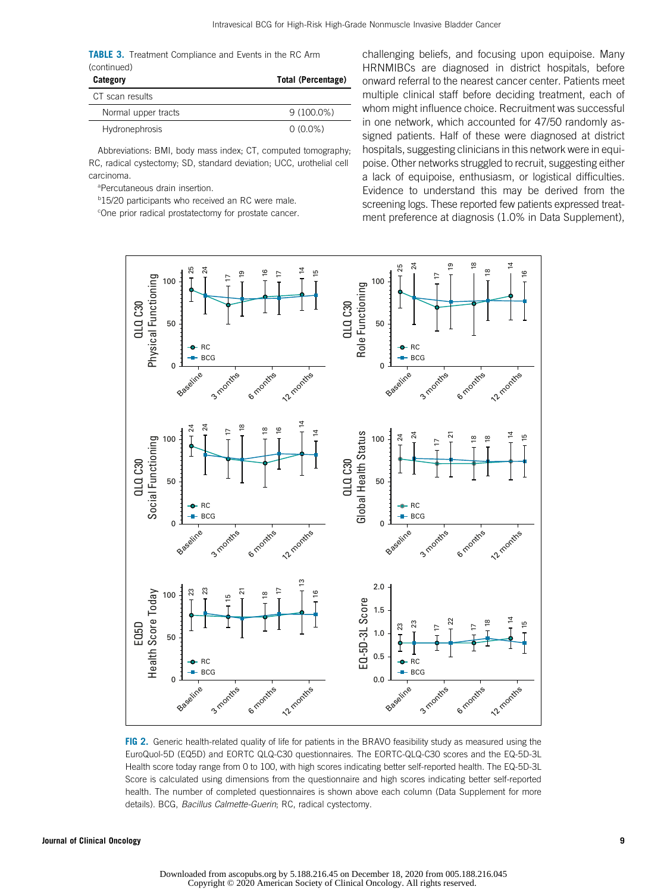**TABLE 3.** Treatment Compliance and Events in the RC Arm (continued)

| Category            | Total (Percentage) |
|---------------------|--------------------|
| CT scan results     |                    |
| Normal upper tracts | $9(100.0\%)$       |
| Hydronephrosis      | $0(0.0\%)$         |

Abbreviations: BMI, body mass index; CT, computed tomography; RC, radical cystectomy; SD, standard deviation; UCC, urothelial cell carcinoma.

a Percutaneous drain insertion.

<sup>b</sup>15/20 participants who received an RC were male. <sup>c</sup>One prior radical prostatectomy for prostate cancer. challenging beliefs, and focusing upon equipoise. Many HRNMIBCs are diagnosed in district hospitals, before onward referral to the nearest cancer center. Patients meet multiple clinical staff before deciding treatment, each of whom might influence choice. Recruitment was successful in one network, which accounted for 47/50 randomly assigned patients. Half of these were diagnosed at district hospitals, suggesting clinicians in this network were in equipoise. Other networks struggled to recruit, suggesting either a lack of equipoise, enthusiasm, or logistical difficulties. Evidence to understand this may be derived from the screening logs. These reported few patients expressed treatment preference at diagnosis (1.0% in Data Supplement),



<span id="page-8-0"></span>FIG 2. Generic health-related quality of life for patients in the BRAVO feasibility study as measured using the EuroQuol-5D (EQ5D) and EORTC QLQ-C30 questionnaires. The EORTC-QLQ-C30 scores and the EQ-5D-3L Health score today range from 0 to 100, with high scores indicating better self-reported health. The EQ-5D-3L Score is calculated using dimensions from the questionnaire and high scores indicating better self-reported health. The number of completed questionnaires is shown above each column (Data Supplement for more details). BCG, Bacillus Calmette-Guerin; RC, radical cystectomy.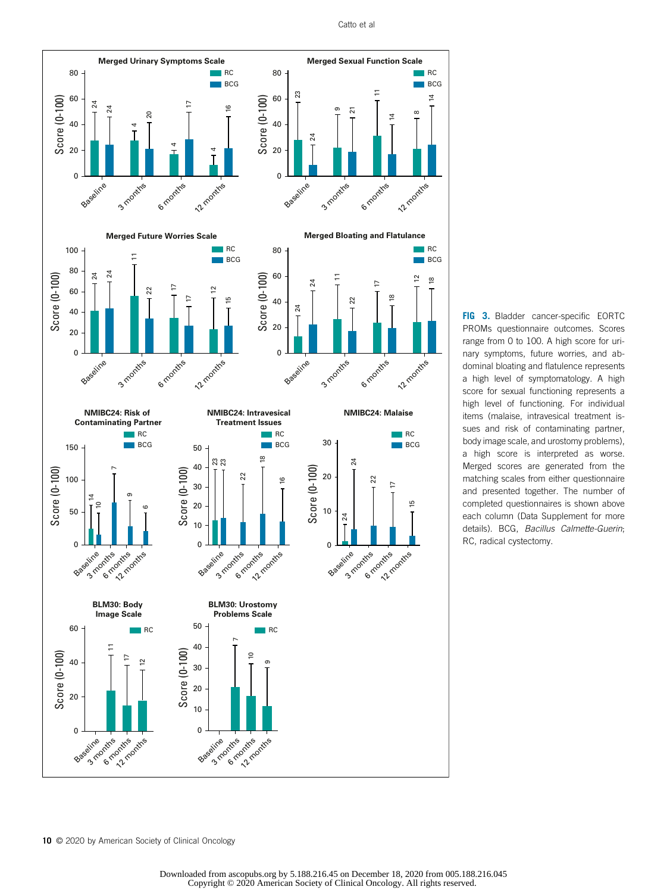#### <span id="page-9-0"></span>Catto et al



FIG 3. Bladder cancer-specific EORTC PROMs questionnaire outcomes. Scores range from 0 to 100. A high score for urinary symptoms, future worries, and abdominal bloating and flatulence represents a high level of symptomatology. A high score for sexual functioning represents a high level of functioning. For individual items (malaise, intravesical treatment issues and risk of contaminating partner, body image scale, and urostomy problems), a high score is interpreted as worse. Merged scores are generated from the matching scales from either questionnaire and presented together. The number of completed questionnaires is shown above each column (Data Supplement for more details). BCG, Bacillus Calmette-Guerin; RC, radical cystectomy.

10 C 2020 by American Society of Clinical Oncology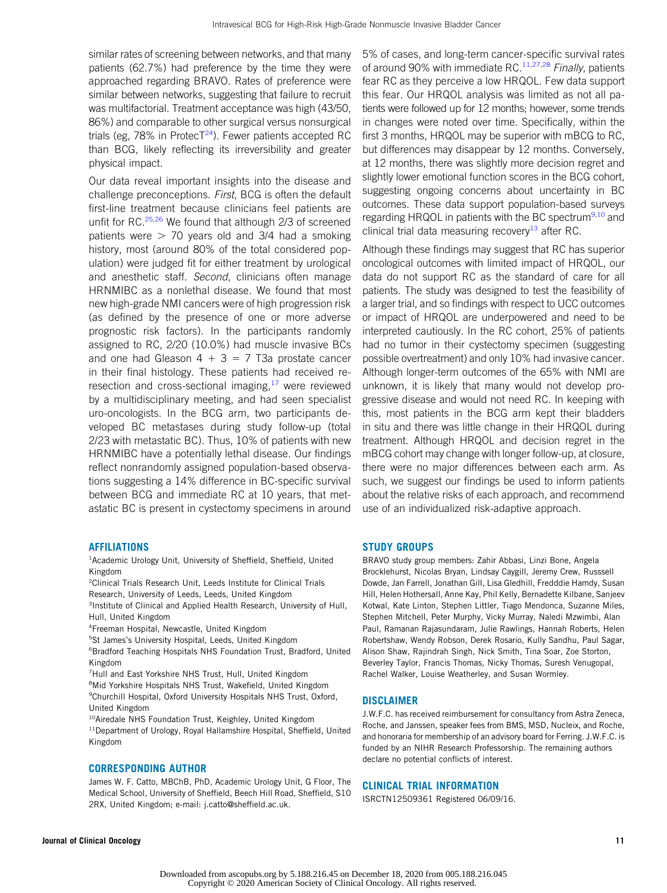similar rates of screening between networks, and that many patients (62.7%) had preference by the time they were approached regarding BRAVO. Rates of preference were similar between networks, suggesting that failure to recruit was multifactorial. Treatment acceptance was high (43/50, 86%) and comparable to other surgical versus nonsurgical trials (eg, 78% in Protec $T^{24}$ ). Fewer patients accepted RC than BCG, likely reflecting its irreversibility and greater physical impact.

Our data reveal important insights into the disease and challenge preconceptions. First, BCG is often the default first-line treatment because clinicians feel patients are unfit for RC.<sup>[25](#page-12-4),[26](#page-12-5)</sup> We found that although 2/3 of screened patients were  $> 70$  years old and 3/4 had a smoking history, most (around 80% of the total considered population) were judged fit for either treatment by urological and anesthetic staff. Second, clinicians often manage HRNMIBC as a nonlethal disease. We found that most new high-grade NMI cancers were of high progression risk (as defined by the presence of one or more adverse prognostic risk factors). In the participants randomly assigned to RC, 2/20 (10.0%) had muscle invasive BCs and one had Gleason  $4 + 3 = 7$  T3a prostate cancer in their final histology. These patients had received reresection and cross-sectional imaging, $17$  were reviewed by a multidisciplinary meeting, and had seen specialist uro-oncologists. In the BCG arm, two participants developed BC metastases during study follow-up (total 2/23 with metastatic BC). Thus, 10% of patients with new HRNMIBC have a potentially lethal disease. Our findings reflect nonrandomly assigned population-based observations suggesting a 14% difference in BC-specific survival between BCG and immediate RC at 10 years, that metastatic BC is present in cystectomy specimens in around

#### AFFILIATIONS

<sup>1</sup> Academic Urology Unit, University of Sheffield, Sheffield, United Kingdom

2 Clinical Trials Research Unit, Leeds Institute for Clinical Trials Research, University of Leeds, Leeds, United Kingdom

<sup>3</sup>Institute of Clinical and Applied Health Research, University of Hull, Hull, United Kingdom

4 Freeman Hospital, Newcastle, United Kingdom

5 St James's University Hospital, Leeds, United Kingdom

6 Bradford Teaching Hospitals NHS Foundation Trust, Bradford, United Kingdom

<sup>7</sup>Hull and East Yorkshire NHS Trust, Hull, United Kingdom

<sup>8</sup>Mid Yorkshire Hospitals NHS Trust, Wakefield, United Kingdom <sup>9</sup>Churchill Hospital, Oxford University Hospitals NHS Trust, Oxford, United Kingdom

10Airedale NHS Foundation Trust, Keighley, United Kingdom

<sup>11</sup>Department of Urology, Royal Hallamshire Hospital, Sheffield, United Kingdom

#### CORRESPONDING AUTHOR

James W. F. Catto, MBChB, PhD, Academic Urology Unit, G Floor, The Medical School, University of Sheffield, Beech Hill Road, Sheffield, S10 2RX, United Kingdom; e-mail: [j.catto@shef](mailto:j.catto@sheffield.ac.uk)field.ac.uk.

5% of cases, and long-term cancer-specific survival rates of around 90% with immediate RC.<sup>[11](#page-11-10),[27](#page-12-6),[28](#page-12-7)</sup> Finally, patients fear RC as they perceive a low HRQOL. Few data support this fear. Our HRQOL analysis was limited as not all patients were followed up for 12 months; however, some trends in changes were noted over time. Specifically, within the first 3 months, HRQOL may be superior with mBCG to RC, but differences may disappear by 12 months. Conversely, at 12 months, there was slightly more decision regret and slightly lower emotional function scores in the BCG cohort, suggesting ongoing concerns about uncertainty in BC outcomes. These data support population-based surveys regarding HRQOL in patients with the BC spectrum<sup>[9](#page-11-8),[10](#page-11-9)</sup> and clinical trial data measuring recovery<sup>[13](#page-11-12)</sup> after RC.

Although these findings may suggest that RC has superior oncological outcomes with limited impact of HRQOL, our data do not support RC as the standard of care for all patients. The study was designed to test the feasibility of a larger trial, and so findings with respect to UCC outcomes or impact of HRQOL are underpowered and need to be interpreted cautiously. In the RC cohort, 25% of patients had no tumor in their cystectomy specimen (suggesting possible overtreatment) and only 10% had invasive cancer. Although longer-term outcomes of the 65% with NMI are unknown, it is likely that many would not develop progressive disease and would not need RC. In keeping with this, most patients in the BCG arm kept their bladders in situ and there was little change in their HRQOL during treatment. Although HRQOL and decision regret in the mBCG cohort may change with longer follow-up, at closure, there were no major differences between each arm. As such, we suggest our findings be used to inform patients about the relative risks of each approach, and recommend use of an individualized risk-adaptive approach.

#### STUDY GROUPS

BRAVO study group members: Zahir Abbasi, Linzi Bone, Angela Brocklehurst, Nicolas Bryan, Lindsay Caygill, Jeremy Crew, Russsell Dowde, Jan Farrell, Jonathan Gill, Lisa Gledhill, Fredddie Hamdy, Susan Hill, Helen Hothersall, Anne Kay, Phil Kelly, Bernadette Kilbane, Sanjeev Kotwal, Kate Linton, Stephen Littler, Tiago Mendonca, Suzanne Miles, Stephen Mitchell, Peter Murphy, Vicky Murray, Naledi Mzwimbi, Alan Paul, Ramanan Rajasundaram, Julie Rawlings, Hannah Roberts, Helen Robertshaw, Wendy Robson, Derek Rosario, Kully Sandhu, Paul Sagar, Alison Shaw, Rajindrah Singh, Nick Smith, Tina Soar, Zoe Storton, Beverley Taylor, Francis Thomas, Nicky Thomas, Suresh Venugopal, Rachel Walker, Louise Weatherley, and Susan Wormley.

#### **DISCLAIMER**

J.W.F.C. has received reimbursement for consultancy from Astra Zeneca, Roche, and Janssen, speaker fees from BMS, MSD, Nucleix, and Roche, and honoraria for membership of an advisory board for Ferring. J.W.F.C. is funded by an NIHR Research Professorship. The remaining authors declare no potential conflicts of interest.

#### CLINICAL TRIAL INFORMATION

ISRCTN12509361 Registered 06/09/16.

Journal of Clinical Oncology 11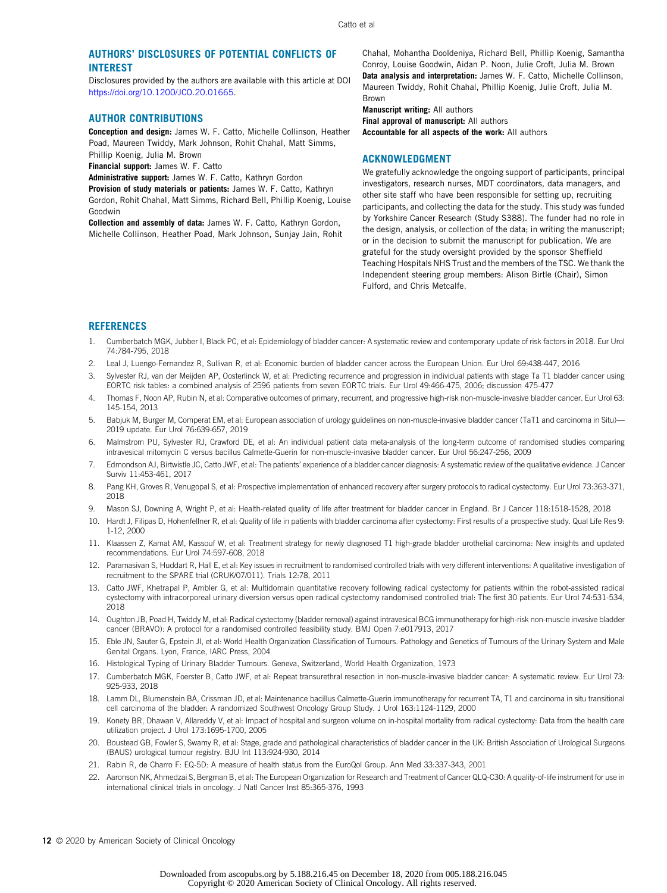## AUTHORS' DISCLOSURES OF POTENTIAL CONFLICTS OF INTEREST

Disclosures provided by the authors are available with this article at DOI [https://doi.org/10.1200/JCO.20.01665.](https://ascopubs.org/doi/full/10.1200/JCO.20.01665)

#### AUTHOR CONTRIBUTIONS

Conception and design: James W. F. Catto, Michelle Collinson, Heather Poad, Maureen Twiddy, Mark Johnson, Rohit Chahal, Matt Simms, Phillip Koenig, Julia M. Brown

Financial support: James W. F. Catto

Administrative support: James W. F. Catto, Kathryn Gordon

Provision of study materials or patients: James W. F. Catto, Kathryn

Gordon, Rohit Chahal, Matt Simms, Richard Bell, Phillip Koenig, Louise Goodwin

Collection and assembly of data: James W. F. Catto, Kathryn Gordon, Michelle Collinson, Heather Poad, Mark Johnson, Sunjay Jain, Rohit Chahal, Mohantha Dooldeniya, Richard Bell, Phillip Koenig, Samantha Conroy, Louise Goodwin, Aidan P. Noon, Julie Croft, Julia M. Brown Data analysis and interpretation: James W. F. Catto, Michelle Collinson, Maureen Twiddy, Rohit Chahal, Phillip Koenig, Julie Croft, Julia M. Brown

Manuscript writing: All authors Final approval of manuscript: All authors Accountable for all aspects of the work: All authors

#### ACKNOWLEDGMENT

We gratefully acknowledge the ongoing support of participants, principal investigators, research nurses, MDT coordinators, data managers, and other site staff who have been responsible for setting up, recruiting participants, and collecting the data for the study. This study was funded by Yorkshire Cancer Research (Study S388). The funder had no role in the design, analysis, or collection of the data; in writing the manuscript; or in the decision to submit the manuscript for publication. We are grateful for the study oversight provided by the sponsor Sheffield Teaching Hospitals NHS Trust and the members of the TSC. We thank the Independent steering group members: Alison Birtle (Chair), Simon Fulford, and Chris Metcalfe.

#### REFERENCES

- <span id="page-11-0"></span>1. Cumberbatch MGK, Jubber I, Black PC, et al: Epidemiology of bladder cancer: A systematic review and contemporary update of risk factors in 2018. Eur Urol 74:784-795, 2018
- <span id="page-11-1"></span>2. Leal J, Luengo-Fernandez R, Sullivan R, et al: Economic burden of bladder cancer across the European Union. Eur Urol 69:438-447, 2016
- <span id="page-11-2"></span>3. Sylvester RJ, van der Meijden AP, Oosterlinck W, et al: Predicting recurrence and progression in individual patients with stage Ta T1 bladder cancer using EORTC risk tables: a combined analysis of 2596 patients from seven EORTC trials. Eur Urol 49:466-475, 2006; discussion 475-477
- <span id="page-11-3"></span>4. Thomas F, Noon AP, Rubin N, et al: Comparative outcomes of primary, recurrent, and progressive high-risk non-muscle-invasive bladder cancer. Eur Urol 63: 145-154, 2013
- <span id="page-11-4"></span>5. Babjuk M, Burger M, Comperat EM, et al: European association of urology guidelines on non-muscle-invasive bladder cancer (TaT1 and carcinoma in Situ)— 2019 update. Eur Urol 76:639-657, 2019
- <span id="page-11-5"></span>6. Malmstrom PU, Sylvester RJ, Crawford DE, et al: An individual patient data meta-analysis of the long-term outcome of randomised studies comparing intravesical mitomycin C versus bacillus Calmette-Guerin for non-muscle-invasive bladder cancer. Eur Urol 56:247-256, 2009
- <span id="page-11-6"></span>7. Edmondson AJ, Birtwistle JC, Catto JWF, et al: The patients' experience of a bladder cancer diagnosis: A systematic review of the qualitative evidence. J Cancer Surviv 11:453-461, 2017
- <span id="page-11-7"></span>8. Pang KH, Groves R, Venugopal S, et al: Prospective implementation of enhanced recovery after surgery protocols to radical cystectomy. Eur Urol 73:363-371, 2018
- <span id="page-11-8"></span>9. Mason SJ, Downing A, Wright P, et al: Health-related quality of life after treatment for bladder cancer in England. Br J Cancer 118:1518-1528, 2018
- <span id="page-11-9"></span>10. Hardt J, Filipas D, Hohenfellner R, et al: Quality of life in patients with bladder carcinoma after cystectomy: First results of a prospective study. Qual Life Res 9: 1-12, 2000
- <span id="page-11-10"></span>11. Klaassen Z, Kamat AM, Kassouf W, et al: Treatment strategy for newly diagnosed T1 high-grade bladder urothelial carcinoma: New insights and updated recommendations. Eur Urol 74:597-608, 2018
- <span id="page-11-11"></span>12. Paramasivan S, Huddart R, Hall E, et al: Key issues in recruitment to randomised controlled trials with very different interventions: A qualitative investigation of recruitment to the SPARE trial (CRUK/07/011). Trials 12:78, 2011
- <span id="page-11-12"></span>13. Catto JWF, Khetrapal P, Ambler G, et al: Multidomain quantitative recovery following radical cystectomy for patients within the robot-assisted radical cystectomy with intracorporeal urinary diversion versus open radical cystectomy randomised controlled trial: The first 30 patients. Eur Urol 74:531-534, 2018
- <span id="page-11-13"></span>14. Oughton JB, Poad H, Twiddy M, et al: Radical cystectomy (bladder removal) against intravesical BCG immunotherapy for high-risk non-muscle invasive bladder cancer (BRAVO): A protocol for a randomised controlled feasibility study. BMJ Open 7:e017913, 2017
- <span id="page-11-14"></span>15. Eble JN, Sauter G, Epstein JI, et al: World Health Organization Classification of Tumours. Pathology and Genetics of Tumours of the Urinary System and Male Genital Organs. Lyon, France, IARC Press, 2004
- <span id="page-11-15"></span>16. Histological Typing of Urinary Bladder Tumours. Geneva, Switzerland, World Health Organization, 1973
- <span id="page-11-16"></span>17. Cumberbatch MGK, Foerster B, Catto JWF, et al: Repeat transurethral resection in non-muscle-invasive bladder cancer: A systematic review. Eur Urol 73: 925-933, 2018
- <span id="page-11-17"></span>18. Lamm DL, Blumenstein BA, Crissman JD, et al: Maintenance bacillus Calmette-Guerin immunotherapy for recurrent TA, T1 and carcinoma in situ transitional cell carcinoma of the bladder: A randomized Southwest Oncology Group Study. J Urol 163:1124-1129, 2000
- <span id="page-11-18"></span>19. Konety BR, Dhawan V, Allareddy V, et al: Impact of hospital and surgeon volume on in-hospital mortality from radical cystectomy: Data from the health care utilization project. J Urol 173:1695-1700, 2005
- <span id="page-11-19"></span>20. Boustead GB, Fowler S, Swamy R, et al: Stage, grade and pathological characteristics of bladder cancer in the UK: British Association of Urological Surgeons (BAUS) urological tumour registry. BJU Int 113:924-930, 2014
- <span id="page-11-20"></span>21. Rabin R, de Charro F: EQ-5D: A measure of health status from the EuroQol Group. Ann Med 33:337-343, 2001
- <span id="page-11-21"></span>22. Aaronson NK, Ahmedzai S, Bergman B, et al: The European Organization for Research and Treatment of Cancer QLQ-C30: A quality-of-life instrument for use in international clinical trials in oncology. J Natl Cancer Inst 85:365-376, 1993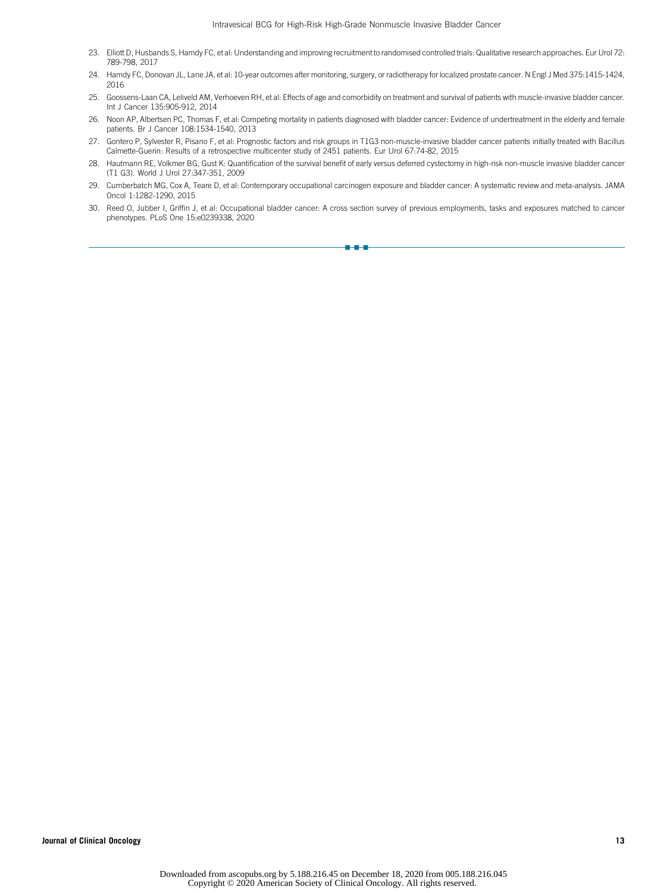- <span id="page-12-2"></span>23. Elliott D, Husbands S, Hamdy FC, et al: Understanding and improving recruitment to randomised controlled trials: Qualitative research approaches. Eur Urol 72: 789-798, 2017
- <span id="page-12-3"></span>24. Hamdy FC, Donovan JL, Lane JA, et al: 10-year outcomes after monitoring, surgery, or radiotherapy for localized prostate cancer. N Engl J Med 375:1415-1424, 2016
- <span id="page-12-4"></span>25. Goossens-Laan CA, Leliveld AM, Verhoeven RH, et al: Effects of age and comorbidity on treatment and survival of patients with muscle-invasive bladder cancer. Int J Cancer 135:905-912, 2014
- <span id="page-12-5"></span>26. Noon AP, Albertsen PC, Thomas F, et al: Competing mortality in patients diagnosed with bladder cancer: Evidence of undertreatment in the elderly and female patients. Br J Cancer 108:1534-1540, 2013
- <span id="page-12-6"></span>27. Gontero P, Sylvester R, Pisano F, et al: Prognostic factors and risk groups in T1G3 non-muscle-invasive bladder cancer patients initially treated with Bacillus Calmette-Guerin: Results of a retrospective multicenter study of 2451 patients. Eur Urol 67:74-82, 2015
- <span id="page-12-7"></span>28. Hautmann RE, Volkmer BG, Gust K: Quantification of the survival benefit of early versus deferred cystectomy in high-risk non-muscle invasive bladder cancer (T1 G3). World J Urol 27:347-351, 2009
- <span id="page-12-0"></span>29. Cumberbatch MG, Cox A, Teare D, et al: Contemporary occupational carcinogen exposure and bladder cancer: A systematic review and meta-analysis. JAMA Oncol 1:1282-1290, 2015
- <span id="page-12-1"></span>30. Reed O, Jubber I, Griffin J, et al: Occupational bladder cancer: A cross section survey of previous employments, tasks and exposures matched to cancer phenotypes. PLoS One 15:e0239338, 2020

nn - 1